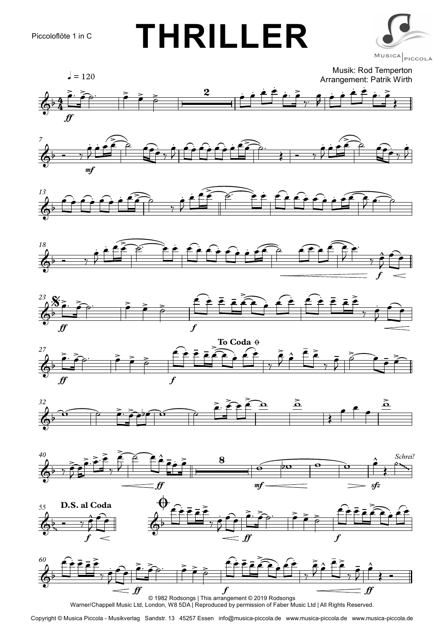























Warner/Chappell Music Ltd, London, W8 5DA | Reproduced by permission of Faber Music Ltd | All Rights Reserved.

Copyright © Musica Piccola - Musikverlag Sandstr. 13 45257 Essen info@musica-piccola.de www.musica-piccola.de www.musica-piccola.de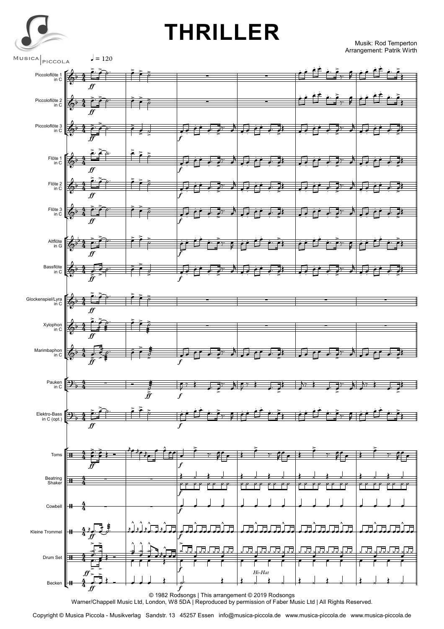

## **THRILLER**

Musik: Rod Temperton Arrangement: Patrik Wirth



Copyright © Musica Piccola - Musikverlag Sandstr. 13 45257 Essen info@musica-piccola.de www.musica-piccola.de www.musica-piccola.de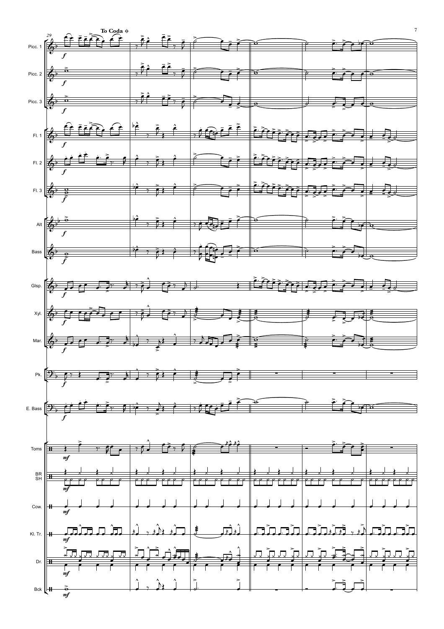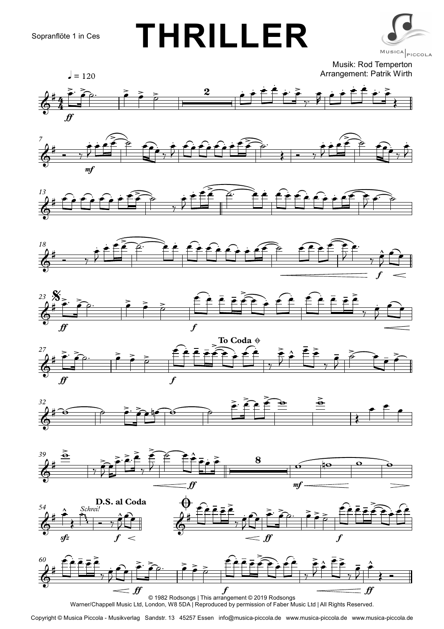## **THRILLER**



Musik: Rod Temperton Arrangement: Patrik Wirth





















Warner/Chappell Music Ltd, London, W8 5DA | Reproduced by permission of Faber Music Ltd | All Rights Reserved.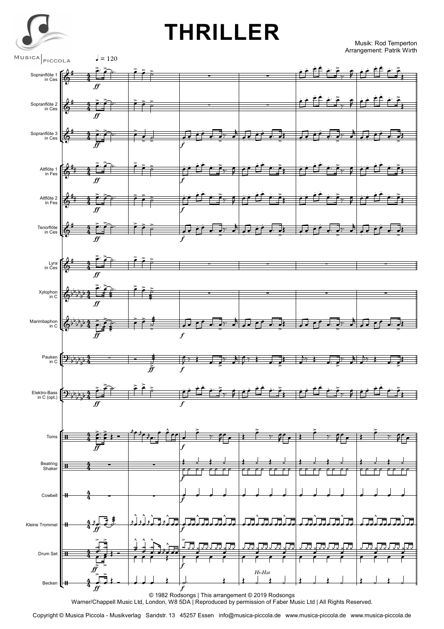

## **THRILLER**

Musik: Rod Temperton Arrangement: Patrik Wirth



Copyright © Musica Piccola - Musikverlag Sandstr. 13 45257 Essen info@musica-piccola.de www.musica-piccola.de www.musica-piccola.de